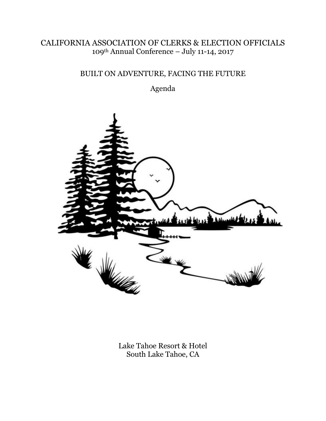# CALIFORNIA ASSOCIATION OF CLERKS & ELECTION OFFICIALS 109th Annual Conference – July 11-14, 2017

# BUILT ON ADVENTURE, FACING THE FUTURE

Agenda



Lake Tahoe Resort & Hotel South Lake Tahoe, CA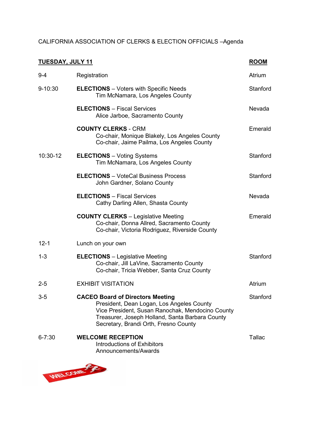## CALIFORNIA ASSOCIATION OF CLERKS & ELECTION OFFICIALS –Agenda

| <b>TUESDAY, JULY 11</b> |                                                                                                                                                                                                                                      | <b>ROOM</b> |
|-------------------------|--------------------------------------------------------------------------------------------------------------------------------------------------------------------------------------------------------------------------------------|-------------|
| $9 - 4$                 | Registration                                                                                                                                                                                                                         | Atrium      |
| $9 - 10:30$             | <b>ELECTIONS</b> – Voters with Specific Needs<br>Tim McNamara, Los Angeles County                                                                                                                                                    | Stanford    |
|                         | <b>ELECTIONS</b> – Fiscal Services<br>Alice Jarboe, Sacramento County                                                                                                                                                                | Nevada      |
|                         | <b>COUNTY CLERKS - CRM</b><br>Co-chair, Monique Blakely, Los Angeles County<br>Co-chair, Jaime Pailma, Los Angeles County                                                                                                            | Emerald     |
| 10:30-12                | <b>ELECTIONS</b> - Voting Systems<br>Tim McNamara, Los Angeles County                                                                                                                                                                | Stanford    |
|                         | <b>ELECTIONS</b> - VoteCal Business Process<br>John Gardner, Solano County                                                                                                                                                           | Stanford    |
|                         | <b>ELECTIONS</b> - Fiscal Services<br>Cathy Darling Allen, Shasta County                                                                                                                                                             | Nevada      |
|                         | <b>COUNTY CLERKS</b> - Legislative Meeting<br>Co-chair, Donna Allred, Sacramento County<br>Co-chair, Victoria Rodriguez, Riverside County                                                                                            | Emerald     |
| $12 - 1$                | Lunch on your own                                                                                                                                                                                                                    |             |
| $1 - 3$                 | <b>ELECTIONS</b> - Legislative Meeting<br>Co-chair, Jill LaVine, Sacramento County<br>Co-chair, Tricia Webber, Santa Cruz County                                                                                                     | Stanford    |
| $2 - 5$                 | <b>EXHIBIT VISITATION</b>                                                                                                                                                                                                            | Atrium      |
| $3 - 5$                 | <b>CACEO Board of Directors Meeting</b><br>President, Dean Logan, Los Angeles County<br>Vice President, Susan Ranochak, Mendocino County<br>Treasurer, Joseph Holland, Santa Barbara County<br>Secretary, Brandi Orth, Fresno County | Stanford    |
| $6 - 7:30$              | <b>WELCOME RECEPTION</b><br><b>Introductions of Exhibitors</b><br>Announcements/Awards                                                                                                                                               | Tallac      |

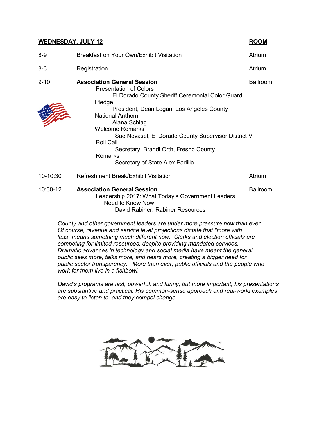| <b>WEDNESDAY, JULY 12</b> |                                                                                                                                                                                                                                                                                                                                                                                                              |                 |
|---------------------------|--------------------------------------------------------------------------------------------------------------------------------------------------------------------------------------------------------------------------------------------------------------------------------------------------------------------------------------------------------------------------------------------------------------|-----------------|
| $8 - 9$                   | Breakfast on Your Own/Exhibit Visitation                                                                                                                                                                                                                                                                                                                                                                     | Atrium          |
| $8 - 3$                   | Registration                                                                                                                                                                                                                                                                                                                                                                                                 | Atrium          |
| $9 - 10$                  | <b>Association General Session</b><br>Presentation of Colors<br>El Dorado County Sheriff Ceremonial Color Guard<br>Pledge<br>President, Dean Logan, Los Angeles County<br><b>National Anthem</b><br>Alana Schlag<br><b>Welcome Remarks</b><br>Sue Novasel, El Dorado County Supervisor District V<br><b>Roll Call</b><br>Secretary, Brandi Orth, Fresno County<br>Remarks<br>Secretary of State Alex Padilla | <b>Ballroom</b> |
| 10-10:30                  | Refreshment Break/Exhibit Visitation                                                                                                                                                                                                                                                                                                                                                                         | Atrium          |
| $10:30-12$                | <b>Association General Session</b><br>Leadership 2017: What Today's Government Leaders<br>Need to Know Now<br>David Rabiner, Rabiner Resources                                                                                                                                                                                                                                                               | <b>Ballroom</b> |

*County and other government leaders are under more pressure now than ever. Of course, revenue and service level projections dictate that "more with less" means something much different now. Clerks and election officials are competing for limited resources, despite providing mandated services. Dramatic advances in technology and social media have meant the general public sees more, talks more, and hears more, creating a bigger need for public sector transparency. More than ever, public officials and the people who work for them live in a fishbowl.*

*David's programs are fast, powerful, and funny, but more important; his presentations are substantive and practical. His common-sense approach and real-world examples are easy to listen to, and they compel change.*

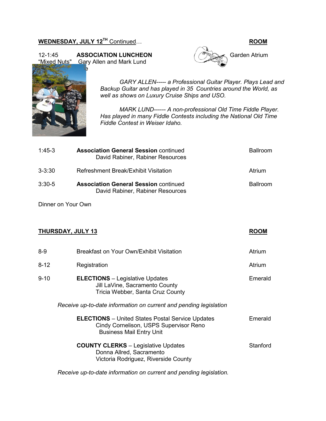### **WEDNESDAY, JULY 12<sup>TH</sup> Continued… ROOM ROOM**

12-1:45 **ASSOCIATION LUNCHEON Constanting Carden Atrium**<br>
"Mixed Nuts" Gary Allen and Mark Lund **Gary Allen and Mark Lund** 





*GARY ALLEN----- a Professional Guitar Player. Plays Lead and Backup Guitar and has played in 35 Countries around the World, as well as shows on Luxury Cruise Ships and USO.*

*MARK LUND------ A non-professional Old Time Fiddle Player. Has played in many Fiddle Contests including the National Old Time Fiddle Contest in Weiser Idaho.*

| $1:45-3$   | <b>Association General Session continued</b><br>David Rabiner, Rabiner Resources | <b>Ballroom</b> |
|------------|----------------------------------------------------------------------------------|-----------------|
| $3 - 3:30$ | Refreshment Break/Exhibit Visitation                                             | Atrium          |
| $3:30-5$   | <b>Association General Session continued</b><br>David Rabiner, Rabiner Resources | <b>Ballroom</b> |

Dinner on Your Own

### **THURSDAY, JULY 13 ROOM**

| $8 - 9$  | <b>Breakfast on Your Own/Exhibit Visitation</b>                                                                                      | Atrium   |
|----------|--------------------------------------------------------------------------------------------------------------------------------------|----------|
| $8 - 12$ | Registration                                                                                                                         | Atrium   |
| $9 - 10$ | <b>ELECTIONS</b> – Legislative Updates<br>Jill LaVine, Sacramento County<br>Tricia Webber, Santa Cruz County                         | Emerald  |
|          | Receive up-to-date information on current and pending legislation                                                                    |          |
|          | <b>ELECTIONS</b> - United States Postal Service Updates<br>Cindy Cornelison, USPS Supervisor Reno<br><b>Business Mail Entry Unit</b> | Emerald  |
|          | <b>COUNTY CLERKS</b> – Legislative Updates<br>Donna Allred, Sacramento<br>Victoria Rodriguez, Riverside County                       | Stanford |

*Receive up-to-date information on current and pending legislation.*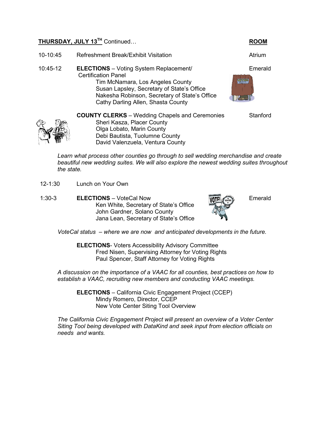### **THURSDAY, JULY 13<sup>TH</sup> Continued… ROOM**

- 10-10:45 Refreshment Break/Exhibit Visitation **Attack** Atrium 10:45-12 **ELECTIONS** – Voting System Replacement/ Emerald Certification Panel Tim McNamara, Los Angeles County **OTIN** Susan Lapsley, Secretary of State's Office Nakesha Robinson, Secretary of State's Office Cathy Darling Allen, Shasta County
	- **COUNTY CLERKS** Wedding Chapels and Ceremonies Stanford Sheri Kasza, Placer County Olga Lobato, Marin County Debi Bautista, Tuolumne County David Valenzuela, Ventura County



- *Learn what process other counties go through to sell wedding merchandise and create beautiful new wedding suites. We will also explore the newest wedding suites throughout the state.*
- 12-1:30 Lunch on Your Own
- 1:30-3 **ELECTIONS** VoteCal Now Emerald Ken White, Secretary of State's Office John Gardner, Solano County Jana Lean, Secretary of State's Office



*VoteCal status – where we are now and anticipated developments in the future.* 

**ELECTIONS**- Voters Accessibility Advisory Committee Fred Nisen, Supervising Attorney for Voting Rights Paul Spencer, Staff Attorney for Voting Rights

*A discussion on the importance of a VAAC for all counties, best practices on how to establish a VAAC, recruiting new members and conducting VAAC meetings.* 

**ELECTIONS** – California Civic Engagement Project (CCEP) Mindy Romero, Director, CCEP New Vote Center Siting Tool Overview

*The California Civic Engagement Project will present an overview of a Voter Center Siting Tool being developed with DataKind and seek input from election officials on needs and wants.*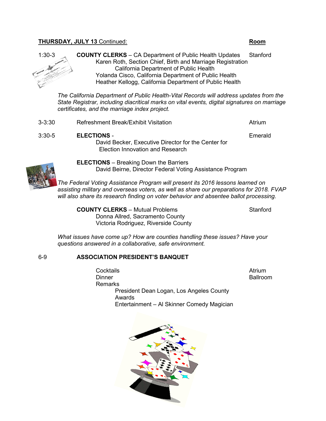#### **THURSDAY, JULY 13** Continued: **Room**



*The California Department of Public Health-Vital Records will address updates from the State Registrar, including diacritical marks on vital events, digital signatures on marriage certificates, and the marriage index project.*

3-3:30 Refreshment Break/Exhibit Visitation **Attack** Atrium 3:30-5 **ELECTIONS** - Emerald David Becker, Executive Director for the Center for Election Innovation and Research



**ELECTIONS** – Breaking Down the Barriers David Beirne, Director Federal Voting Assistance Program

*The Federal Voting Assistance Program will present its 2016 lessons learned on assisting military and overseas voters, as well as share our preparations for 2018. FVAP will also share its research finding on voter behavior and absentee ballot processing.*

**COUNTY CLERKS** – Mutual Problems Stanford Donna Allred, Sacramento County Victoria Rodriguez, Riverside County

*What issues have come up? How are counties handling these issues? Have your questions answered in a collaborative, safe environment.*

### 6-9 **ASSOCIATION PRESIDENT'S BANQUET**

Cocktails **Atrium** Dinner Ballroom Ballroom Remarks President Dean Logan, Los Angeles County Awards Entertainment – Al Skinner Comedy Magician